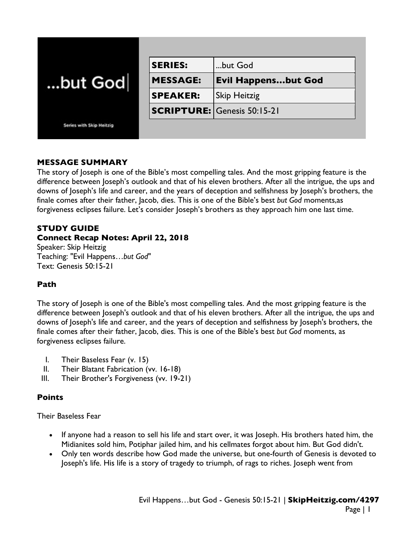| but God                  | <b>SERIES:</b>  | but God                            |
|--------------------------|-----------------|------------------------------------|
|                          | <b>MESSAGE:</b> | <b>Evil Happensbut God</b>         |
|                          | <b>SPEAKER:</b> | <b>Skip Heitzig</b>                |
|                          |                 | <b>SCRIPTURE: Genesis 50:15-21</b> |
| Series with Skip Heitzig |                 |                                    |

## **MESSAGE SUMMARY**

The story of Joseph is one of the Bible's most compelling tales. And the most gripping feature is the difference between Joseph's outlook and that of his eleven brothers. After all the intrigue, the ups and downs of Joseph's life and career, and the years of deception and selfishness by Joseph's brothers, the finale comes after their father, Jacob, dies. This is one of the Bible's best *but God* moments,as forgiveness eclipses failure. Let's consider Joseph's brothers as they approach him one last time.

# **STUDY GUIDE**

# **Connect Recap Notes: April 22, 2018**

Speaker: Skip Heitzig Teaching: "Evil Happens…*but God*" Text: Genesis 50:15-21

# **Path**

The story of Joseph is one of the Bible's most compelling tales. And the most gripping feature is the difference between Joseph's outlook and that of his eleven brothers. After all the intrigue, the ups and downs of Joseph's life and career, and the years of deception and selfishness by Joseph's brothers, the finale comes after their father, Jacob, dies. This is one of the Bible's best *but God* moments, as forgiveness eclipses failure.

- I. Their Baseless Fear (v. 15)
- II. Their Blatant Fabrication (vv. 16-18)
- III. Their Brother's Forgiveness (vv. 19-21)

# **Points**

Their Baseless Fear

- If anyone had a reason to sell his life and start over, it was Joseph. His brothers hated him, the Midianites sold him, Potiphar jailed him, and his cellmates forgot about him. But God didn't.
- Only ten words describe how God made the universe, but one-fourth of Genesis is devoted to Joseph's life. His life is a story of tragedy to triumph, of rags to riches. Joseph went from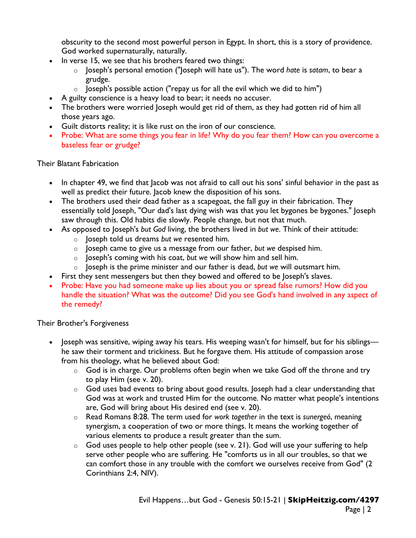obscurity to the second most powerful person in Egypt. In short, this is a story of providence. God worked supernaturally, naturally.

- In verse 15, we see that his brothers feared two things:
	- o Joseph's personal emotion ("Joseph will hate us"). The word *hate* is *satam*, to bear a grudge.
	- $\circ$  Joseph's possible action ("repay us for all the evil which we did to him")
- A guilty conscience is a heavy load to bear; it needs no accuser.
- The brothers were worried loseph would get rid of them, as they had gotten rid of him all those years ago.
- Guilt distorts reality; it is like rust on the iron of our conscience.
- Probe: What are some things you fear in life? Why do you fear them? How can you overcome a baseless fear or grudge?

#### Their Blatant Fabrication

- In chapter 49, we find that Jacob was not afraid to call out his sons' sinful behavior in the past as well as predict their future. Jacob knew the disposition of his sons.
- The brothers used their dead father as a scapegoat, the fall guy in their fabrication. They essentially told Joseph, "Our dad's last dying wish was that you let bygones be bygones." Joseph saw through this. Old habits die slowly. People change, but not that much.
- As opposed to Joseph's *but God* living, the brothers lived in *but we*. Think of their attitude:
	- o Joseph told us dreams *but we* resented him.
	- o Joseph came to give us a message from our father, *but we* despised him.
	- o Joseph's coming with his coat, *but we* will show him and sell him.
	- o Joseph is the prime minister and our father is dead, *but we* will outsmart him.
- First they sent messengers but then they bowed and offered to be Joseph's slaves.
- Probe: Have you had someone make up lies about you or spread false rumors? How did you handle the situation? What was the outcome? Did you see God's hand involved in any aspect of the remedy?

### Their Brother's Forgiveness

- Joseph was sensitive, wiping away his tears. His weeping wasn't for himself, but for his siblings he saw their torment and trickiness. But he forgave them. His attitude of compassion arose from his theology, what he believed about God:
	- $\circ$  God is in charge. Our problems often begin when we take God off the throne and try to play Him (see v. 20).
	- o God uses bad events to bring about good results. Joseph had a clear understanding that God was at work and trusted Him for the outcome. No matter what people's intentions are, God will bring about His desired end (see v. 20).
	- o Read Romans 8:28. The term used for *work together* in the text is *sunergeó*, meaning synergism, a cooperation of two or more things. It means the working together of various elements to produce a result greater than the sum.
	- $\circ$  God uses people to help other people (see v. 21). God will use your suffering to help serve other people who are suffering. He "comforts us in all our troubles, so that we can comfort those in any trouble with the comfort we ourselves receive from God" (2 Corinthians 2:4, NIV).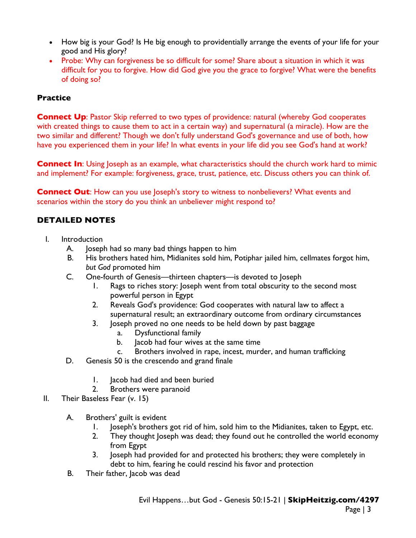- How big is your God? Is He big enough to providentially arrange the events of your life for your good and His glory?
- Probe: Why can forgiveness be so difficult for some? Share about a situation in which it was difficult for you to forgive. How did God give you the grace to forgive? What were the benefits of doing so?

## **Practice**

**Connect Up:** Pastor Skip referred to two types of providence: natural (whereby God cooperates with created things to cause them to act in a certain way) and supernatural (a miracle). How are the two similar and different? Though we don't fully understand God's governance and use of both, how have you experienced them in your life? In what events in your life did you see God's hand at work?

**Connect In:** Using Joseph as an example, what characteristics should the church work hard to mimic and implement? For example: forgiveness, grace, trust, patience, etc. Discuss others you can think of.

**Connect Out:** How can you use Joseph's story to witness to nonbelievers? What events and scenarios within the story do you think an unbeliever might respond to?

# **DETAILED NOTES**

- I. Introduction
	- A. Joseph had so many bad things happen to him
	- B. His brothers hated him, Midianites sold him, Potiphar jailed him, cellmates forgot him, *but God* promoted him
	- C. One-fourth of Genesis—thirteen chapters—is devoted to Joseph
		- 1. Rags to riches story: Joseph went from total obscurity to the second most powerful person in Egypt
		- 2. Reveals God's providence: God cooperates with natural law to affect a supernatural result; an extraordinary outcome from ordinary circumstances
		- 3. Joseph proved no one needs to be held down by past baggage
			- a. Dysfunctional family
			- b. Iacob had four wives at the same time
			- c. Brothers involved in rape, incest, murder, and human trafficking
	- D. Genesis 50 is the crescendo and grand finale
		- 1. Jacob had died and been buried
		- 2. Brothers were paranoid
- II. Their Baseless Fear (v. 15)
	- A. Brothers' guilt is evident
		- 1. Joseph's brothers got rid of him, sold him to the Midianites, taken to Egypt, etc.
		- 2. They thought Joseph was dead; they found out he controlled the world economy from Egypt
		- 3. Joseph had provided for and protected his brothers; they were completely in debt to him, fearing he could rescind his favor and protection
	- B. Their father, Jacob was dead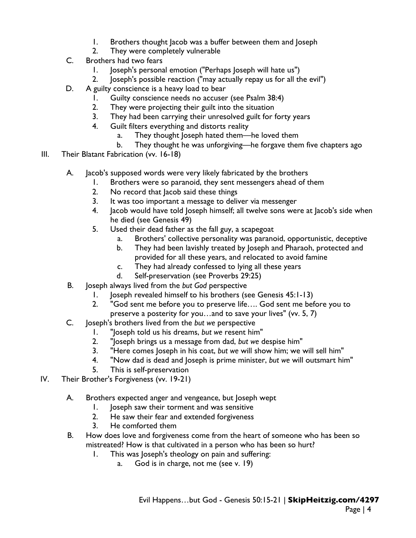- 1. Brothers thought Jacob was a buffer between them and Joseph
- 2. They were completely vulnerable
- C. Brothers had two fears
	- 1. Joseph's personal emotion ("Perhaps Joseph will hate us")
	- 2. Joseph's possible reaction ("may actually repay us for all the evil")
- D. A guilty conscience is a heavy load to bear
	- 1. Guilty conscience needs no accuser (see Psalm 38:4)
	- 2. They were projecting their guilt into the situation
	- 3. They had been carrying their unresolved guilt for forty years
	- 4. Guilt filters everything and distorts reality
		- a. They thought Joseph hated them—he loved them
		- b. They thought he was unforgiving—he forgave them five chapters ago
- III. Their Blatant Fabrication (vv. 16-18)
	- A. Jacob's supposed words were very likely fabricated by the brothers
		- 1. Brothers were so paranoid, they sent messengers ahead of them
		- 2. No record that Jacob said these things
		- 3. It was too important a message to deliver via messenger
		- 4. Jacob would have told Joseph himself; all twelve sons were at Jacob's side when he died (see Genesis 49)
		- 5. Used their dead father as the fall guy, a scapegoat
			- a. Brothers' collective personality was paranoid, opportunistic, deceptive
			- b. They had been lavishly treated by Joseph and Pharaoh, protected and provided for all these years, and relocated to avoid famine
			- c. They had already confessed to lying all these years
			- d. Self-preservation (see Proverbs 29:25)
	- B. Joseph always lived from the *but God* perspective
		- 1. Joseph revealed himself to his brothers (see Genesis 45:1-13)
		- 2. "God sent me before you to preserve life…. God sent me before you to preserve a posterity for you…and to save your lives" (vv. 5, 7)
	- C. Joseph's brothers lived from the *but we* perspective
		- 1. "Joseph told us his dreams, *but we* resent him"
		- 2. "Joseph brings us a message from dad, *but we* despise him"
		- 3. "Here comes Joseph in his coat, *but we* will show him; we will sell him"
		- 4. "Now dad is dead and Joseph is prime minister, *but we* will outsmart him"
		- 5. This is self-preservation
- IV. Their Brother's Forgiveness (vv. 19-21)
	- A. Brothers expected anger and vengeance, but Joseph wept
		- 1. Joseph saw their torment and was sensitive
		- 2. He saw their fear and extended forgiveness
		- 3. He comforted them
	- B. How does love and forgiveness come from the heart of someone who has been so mistreated? How is that cultivated in a person who has been so hurt?
		- 1. This was Joseph's theology on pain and suffering:
			- a. God is in charge, not me (see v. 19)